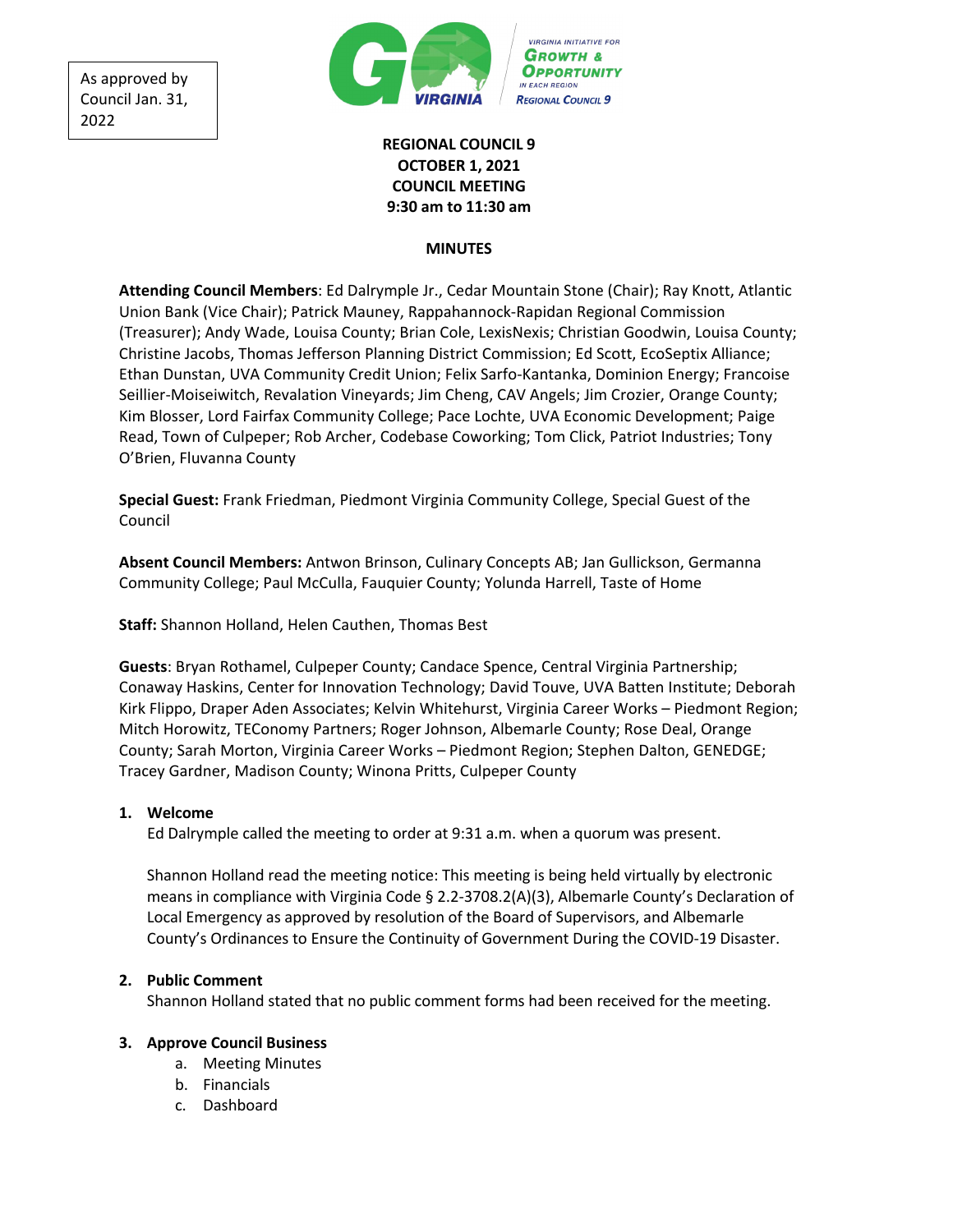As approved by Council Jan. 31, 2022



# **REGIONAL COUNCIL 9 OCTOBER 1, 2021 COUNCIL MEETING 9:30 am to 11:30 am**

#### **MINUTES**

**Attending Council Members**: Ed Dalrymple Jr., Cedar Mountain Stone (Chair); Ray Knott, Atlantic Union Bank (Vice Chair); Patrick Mauney, Rappahannock-Rapidan Regional Commission (Treasurer); Andy Wade, Louisa County; Brian Cole, LexisNexis; Christian Goodwin, Louisa County; Christine Jacobs, Thomas Jefferson Planning District Commission; Ed Scott, EcoSeptix Alliance; Ethan Dunstan, UVA Community Credit Union; Felix Sarfo-Kantanka, Dominion Energy; Francoise Seillier-Moiseiwitch, Revalation Vineyards; Jim Cheng, CAV Angels; Jim Crozier, Orange County; Kim Blosser, Lord Fairfax Community College; Pace Lochte, UVA Economic Development; Paige Read, Town of Culpeper; Rob Archer, Codebase Coworking; Tom Click, Patriot Industries; Tony O'Brien, Fluvanna County

**Special Guest:** Frank Friedman, Piedmont Virginia Community College, Special Guest of the Council

**Absent Council Members:** Antwon Brinson, Culinary Concepts AB; Jan Gullickson, Germanna Community College; Paul McCulla, Fauquier County; Yolunda Harrell, Taste of Home

**Staff:** Shannon Holland, Helen Cauthen, Thomas Best

**Guests**: Bryan Rothamel, Culpeper County; Candace Spence, Central Virginia Partnership; Conaway Haskins, Center for Innovation Technology; David Touve, UVA Batten Institute; Deborah Kirk Flippo, Draper Aden Associates; Kelvin Whitehurst, Virginia Career Works – Piedmont Region; Mitch Horowitz, TEConomy Partners; Roger Johnson, Albemarle County; Rose Deal, Orange County; Sarah Morton, Virginia Career Works – Piedmont Region; Stephen Dalton, GENEDGE; Tracey Gardner, Madison County; Winona Pritts, Culpeper County

## **1. Welcome**

Ed Dalrymple called the meeting to order at 9:31 a.m. when a quorum was present.

Shannon Holland read the meeting notice: This meeting is being held virtually by electronic means in compliance with Virginia Code § 2.2-3708.2(A)(3), Albemarle County's Declaration of Local Emergency as approved by resolution of the Board of Supervisors, and Albemarle County's Ordinances to Ensure the Continuity of Government During the COVID-19 Disaster.

## **2. Public Comment**

Shannon Holland stated that no public comment forms had been received for the meeting.

## **3. Approve Council Business**

- a. Meeting Minutes
- b. Financials
- c. Dashboard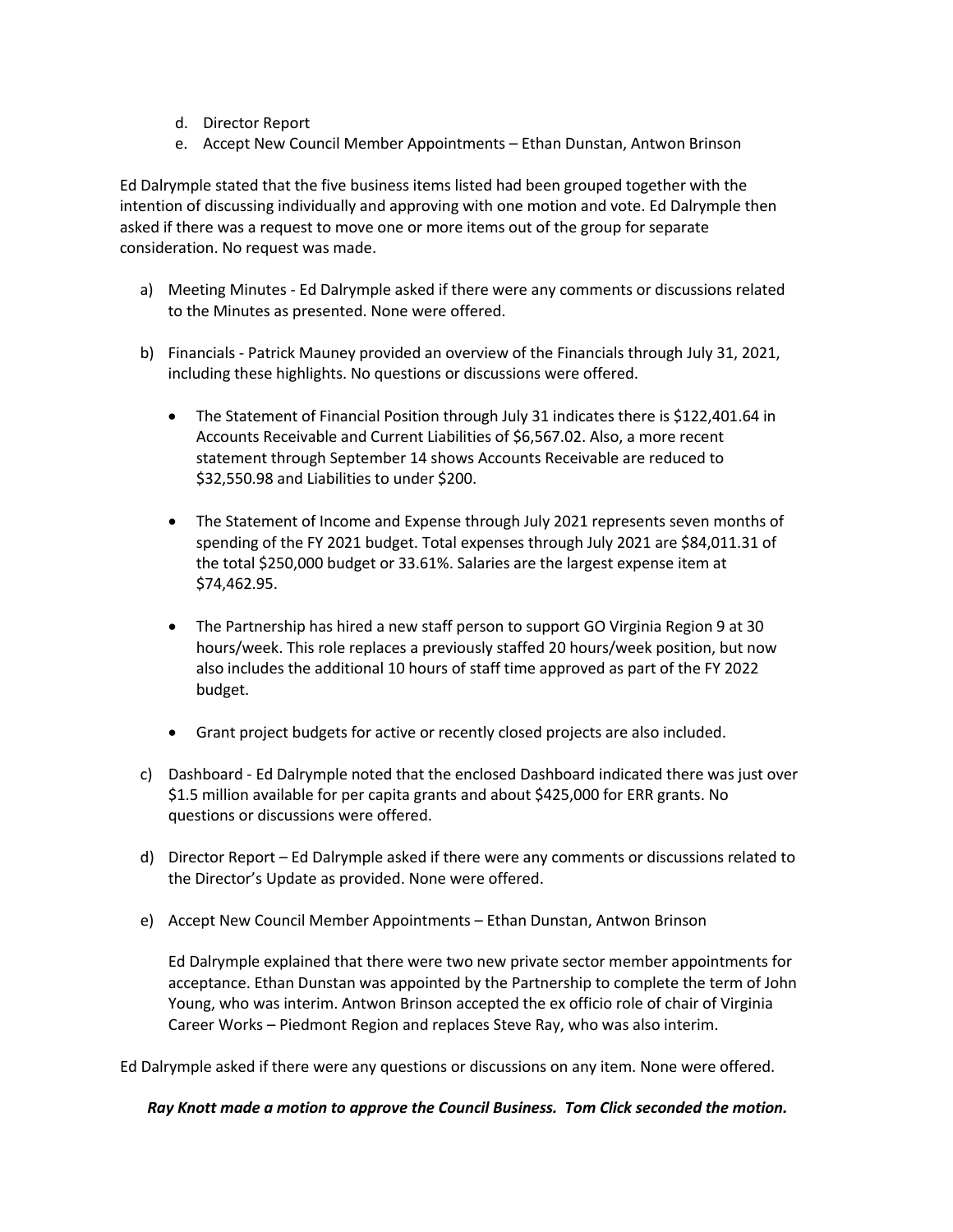- d. Director Report
- e. Accept New Council Member Appointments Ethan Dunstan, Antwon Brinson

Ed Dalrymple stated that the five business items listed had been grouped together with the intention of discussing individually and approving with one motion and vote. Ed Dalrymple then asked if there was a request to move one or more items out of the group for separate consideration. No request was made.

- a) Meeting Minutes Ed Dalrymple asked if there were any comments or discussions related to the Minutes as presented. None were offered.
- b) Financials Patrick Mauney provided an overview of the Financials through July 31, 2021, including these highlights. No questions or discussions were offered.
	- The Statement of Financial Position through July 31 indicates there is \$122,401.64 in Accounts Receivable and Current Liabilities of \$6,567.02. Also, a more recent statement through September 14 shows Accounts Receivable are reduced to \$32,550.98 and Liabilities to under \$200.
	- The Statement of Income and Expense through July 2021 represents seven months of spending of the FY 2021 budget. Total expenses through July 2021 are \$84,011.31 of the total \$250,000 budget or 33.61%. Salaries are the largest expense item at \$74,462.95.
	- The Partnership has hired a new staff person to support GO Virginia Region 9 at 30 hours/week. This role replaces a previously staffed 20 hours/week position, but now also includes the additional 10 hours of staff time approved as part of the FY 2022 budget.
	- Grant project budgets for active or recently closed projects are also included.
- c) Dashboard Ed Dalrymple noted that the enclosed Dashboard indicated there was just over \$1.5 million available for per capita grants and about \$425,000 for ERR grants. No questions or discussions were offered.
- d) Director Report Ed Dalrymple asked if there were any comments or discussions related to the Director's Update as provided. None were offered.
- e) Accept New Council Member Appointments Ethan Dunstan, Antwon Brinson

Ed Dalrymple explained that there were two new private sector member appointments for acceptance. Ethan Dunstan was appointed by the Partnership to complete the term of John Young, who was interim. Antwon Brinson accepted the ex officio role of chair of Virginia Career Works – Piedmont Region and replaces Steve Ray, who was also interim.

Ed Dalrymple asked if there were any questions or discussions on any item. None were offered.

#### *Ray Knott made a motion to approve the Council Business. Tom Click seconded the motion.*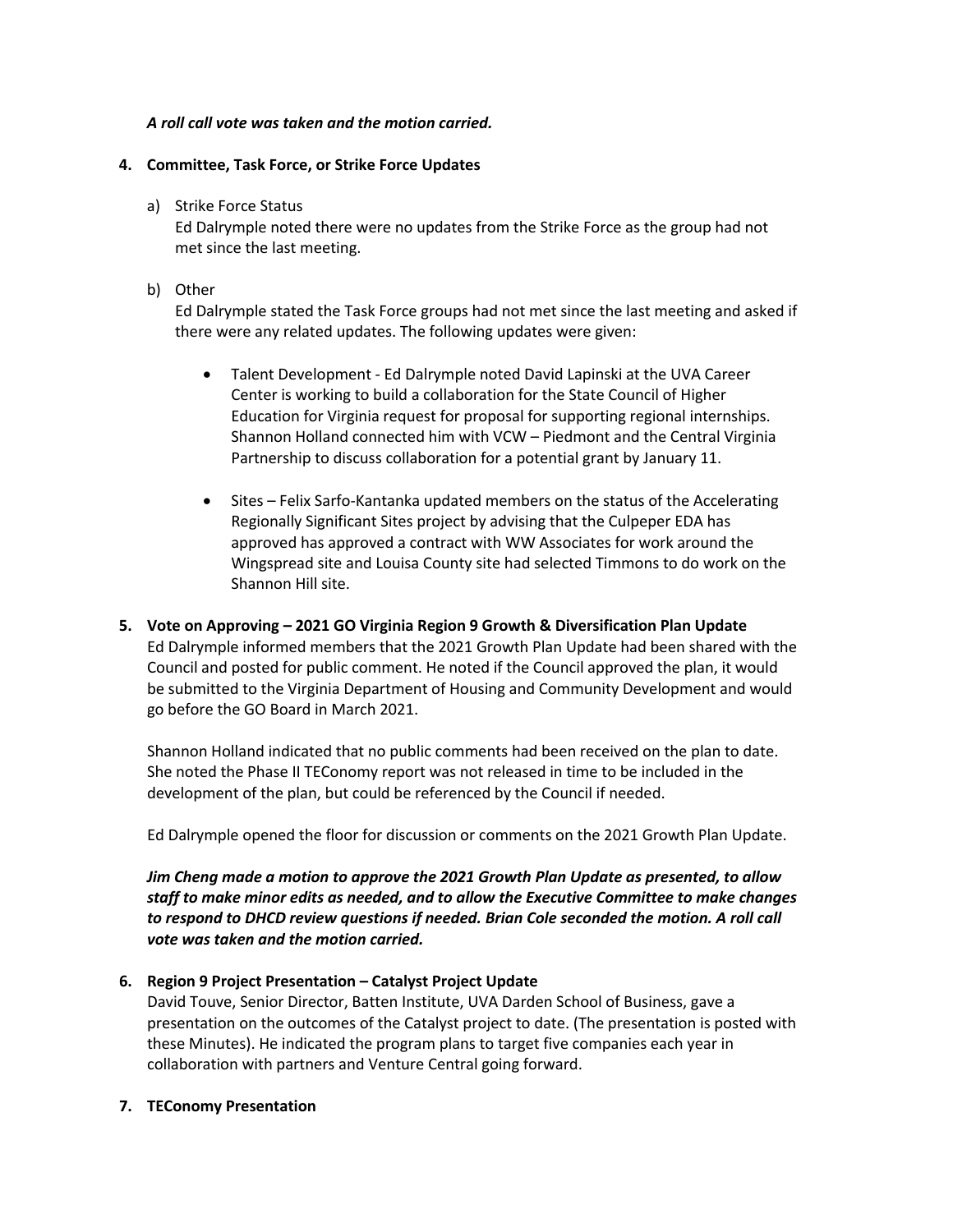## *A roll call vote was taken and the motion carried.*

### **4. Committee, Task Force, or Strike Force Updates**

a) Strike Force Status

Ed Dalrymple noted there were no updates from the Strike Force as the group had not met since the last meeting.

#### b) Other

Ed Dalrymple stated the Task Force groups had not met since the last meeting and asked if there were any related updates. The following updates were given:

- Talent Development Ed Dalrymple noted David Lapinski at the UVA Career Center is working to build a collaboration for the State Council of Higher Education for Virginia request for proposal for supporting regional internships. Shannon Holland connected him with VCW – Piedmont and the Central Virginia Partnership to discuss collaboration for a potential grant by January 11.
- Sites Felix Sarfo-Kantanka updated members on the status of the Accelerating Regionally Significant Sites project by advising that the Culpeper EDA has approved has approved a contract with WW Associates for work around the Wingspread site and Louisa County site had selected Timmons to do work on the Shannon Hill site.
- **5. Vote on Approving – 2021 GO Virginia Region 9 Growth & Diversification Plan Update** Ed Dalrymple informed members that the 2021 Growth Plan Update had been shared with the Council and posted for public comment. He noted if the Council approved the plan, it would be submitted to the Virginia Department of Housing and Community Development and would go before the GO Board in March 2021.

Shannon Holland indicated that no public comments had been received on the plan to date. She noted the Phase II TEConomy report was not released in time to be included in the development of the plan, but could be referenced by the Council if needed.

Ed Dalrymple opened the floor for discussion or comments on the 2021 Growth Plan Update.

*Jim Cheng made a motion to approve the 2021 Growth Plan Update as presented, to allow staff to make minor edits as needed, and to allow the Executive Committee to make changes to respond to DHCD review questions if needed. Brian Cole seconded the motion. A roll call vote was taken and the motion carried.* 

#### **6. Region 9 Project Presentation – Catalyst Project Update**

David Touve, Senior Director, Batten Institute, UVA Darden School of Business, gave a presentation on the outcomes of the Catalyst project to date. (The presentation is posted with these Minutes). He indicated the program plans to target five companies each year in collaboration with partners and Venture Central going forward.

**7. TEConomy Presentation**